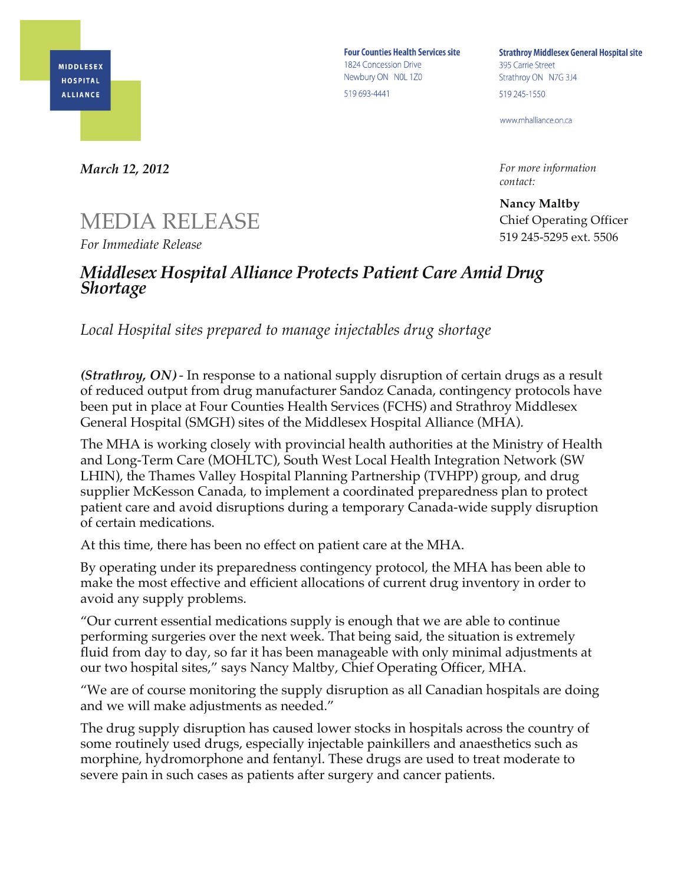

**Four Counties Health Services site** 1824 Concession Drive Newbury ON NOL 1Z0 519 693-4441

**Strathroy Middlesex General Hospital site** 395 Carrie Street Strathroy ON N7G 3J4 519 245-1550

www.mhalliance.on.ca

*For more information contact:*

**Nancy Maltby** Chief Operating Officer 519 245-5295 ext. 5506

*March 12, 2012*

## MEDIA RELEASE

*For Immediate Release*

## *Middlesex Hospital Alliance Protects Patient Care Amid Drug Shortage*

*Local Hospital sites prepared to manage injectables drug shortage*

*(Strathroy, ON) -* In response to a national supply disruption of certain drugs as a result of reduced output from drug manufacturer Sandoz Canada, contingency protocols have been put in place at Four Counties Health Services (FCHS) and Strathroy Middlesex General Hospital (SMGH) sites of the Middlesex Hospital Alliance (MHA).

The MHA is working closely with provincial health authorities at the Ministry of Health and Long-Term Care (MOHLTC), South West Local Health Integration Network (SW LHIN), the Thames Valley Hospital Planning Partnership (TVHPP) group, and drug supplier McKesson Canada, to implement a coordinated preparedness plan to protect patient care and avoid disruptions during a temporary Canada-wide supply disruption of certain medications.

At this time, there has been no effect on patient care at the MHA.

By operating under its preparedness contingency protocol, the MHA has been able to make the most effective and efficient allocations of current drug inventory in order to avoid any supply problems.

"Our current essential medications supply is enough that we are able to continue performing surgeries over the next week. That being said, the situation is extremely fluid from day to day, so far it has been manageable with only minimal adjustments at our two hospital sites," says Nancy Maltby, Chief Operating Officer, MHA.

"We are of course monitoring the supply disruption as all Canadian hospitals are doing and we will make adjustments as needed."

The drug supply disruption has caused lower stocks in hospitals across the country of some routinely used drugs, especially injectable painkillers and anaesthetics such as morphine, hydromorphone and fentanyl. These drugs are used to treat moderate to severe pain in such cases as patients after surgery and cancer patients.